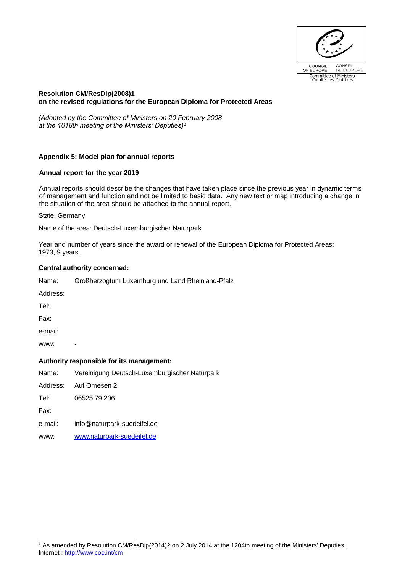

## **Resolution CM/ResDip(2008)1 on the revised regulations for the European Diploma for Protected Areas**

*(Adopted by the Committee of Ministers on 20 February 2008 at the 1018th meeting of the Ministers' Deputies)<sup>1</sup>*

# **Appendix 5: Model plan for annual reports**

## **Annual report for the year 2019**

Annual reports should describe the changes that have taken place since the previous year in dynamic terms of management and function and not be limited to basic data. Any new text or map introducing a change in the situation of the area should be attached to the annual report.

State: Germany

Name of the area: Deutsch-Luxemburgischer Naturpark

Year and number of years since the award or renewal of the European Diploma for Protected Areas: 1973, 9 years.

## **Central authority concerned:**

| Name: |  | Großherzogtum Luxemburg und Land Rheinland-Pfalz |
|-------|--|--------------------------------------------------|
|       |  |                                                  |

Address:

Tel:

Fax:

e-mail:

www:

## **Authority responsible for its management:**

Name: Vereinigung Deutsch-Luxemburgischer Naturpark

Address: Auf Omesen 2

Tel: 06525 79 206

Fax:

- e-mail: info@naturpark-suedeifel.de
- www: [www.naturpark-suedeifel.de](http://www.naturpark-suedeifel.de/)

Internet :<http://www.coe.int/cm> l <sup>1</sup> As amended by Resolution CM/ResDip(2014)2 on 2 July 2014 at the 1204th meeting of the Ministers' Deputies.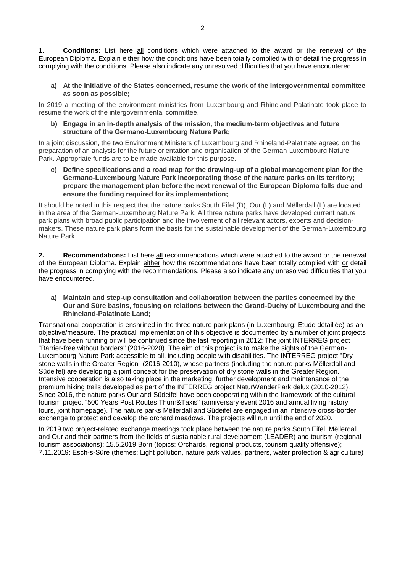**1. Conditions:** List here all conditions which were attached to the award or the renewal of the European Diploma. Explain either how the conditions have been totally complied with or detail the progress in complying with the conditions. Please also indicate any unresolved difficulties that you have encountered.

**a) At the initiative of the States concerned, resume the work of the intergovernmental committee as soon as possible;**

In 2019 a meeting of the environment ministries from Luxembourg and Rhineland-Palatinate took place to resume the work of the intergovernmental committee.

**b) Engage in an in-depth analysis of the mission, the medium-term objectives and future structure of the Germano-Luxembourg Nature Park;**

In a joint discussion, the two Environment Ministers of Luxembourg and Rhineland-Palatinate agreed on the preparation of an analysis for the future orientation and organisation of the German-Luxembourg Nature Park. Appropriate funds are to be made available for this purpose.

**c) Define specifications and a road map for the drawing-up of a global management plan for the Germano-Luxembourg Nature Park incorporating those of the nature parks on its territory; prepare the management plan before the next renewal of the European Diploma falls due and ensure the funding required for its implementation;**

It should be noted in this respect that the nature parks South Eifel (D), Our (L) and Mëllerdall (L) are located in the area of the German-Luxembourg Nature Park. All three nature parks have developed current nature park plans with broad public participation and the involvement of all relevant actors, experts and decisionmakers. These nature park plans form the basis for the sustainable development of the German-Luxembourg Nature Park.

**2. Recommendations:** List here all recommendations which were attached to the award or the renewal of the European Diploma. Explain either how the recommendations have been totally complied with or detail the progress in complying with the recommendations. Please also indicate any unresolved difficulties that you have encountered.

**a) Maintain and step-up consultation and collaboration between the parties concerned by the Our and Sûre basins, focusing on relations between the Grand-Duchy of Luxembourg and the Rhineland-Palatinate Land;**

Transnational cooperation is enshrined in the three nature park plans (in Luxembourg: Etude détaillée) as an objective/measure. The practical implementation of this objective is documented by a number of joint projects that have been running or will be continued since the last reporting in 2012: The joint INTERREG project "Barrier-free without borders" (2016-2020). The aim of this project is to make the sights of the German-Luxembourg Nature Park accessible to all, including people with disabilities. The INTERREG project "Dry stone walls in the Greater Region" (2016-2010), whose partners (including the nature parks Mëllerdall and Südeifel) are developing a joint concept for the preservation of dry stone walls in the Greater Region. Intensive cooperation is also taking place in the marketing, further development and maintenance of the premium hiking trails developed as part of the INTERREG project NaturWanderPark delux (2010-2012). Since 2016, the nature parks Our and Südeifel have been cooperating within the framework of the cultural tourism project "500 Years Post Routes Thurn&Taxis" (anniversary event 2016 and annual living history tours, joint homepage). The nature parks Mëllerdall and Südeifel are engaged in an intensive cross-border exchange to protect and develop the orchard meadows. The projects will run until the end of 2020.

In 2019 two project-related exchange meetings took place between the nature parks South Eifel, Mëllerdall and Our and their partners from the fields of sustainable rural development (LEADER) and tourism (regional tourism associations): 15.5.2019 Born (topics: Orchards, regional products, tourism quality offensive); 7.11.2019: Esch-s-Sûre (themes: Light pollution, nature park values, partners, water protection & agriculture)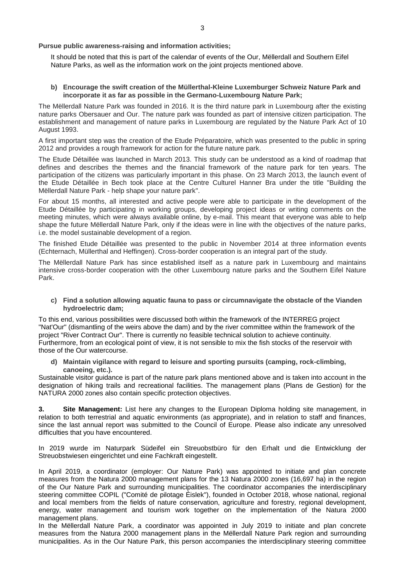**Pursue public awareness-raising and information activities;**

It should be noted that this is part of the calendar of events of the Our, Mëllerdall and Southern Eifel Nature Parks, as well as the information work on the joint projects mentioned above.

**b) Encourage the swift creation of the Müllerthal-Kleine Luxemburger Schweiz Nature Park and incorporate it as far as possible in the Germano-Luxembourg Nature Park;**

The Mëllerdall Nature Park was founded in 2016. It is the third nature park in Luxembourg after the existing nature parks Obersauer and Our. The nature park was founded as part of intensive citizen participation. The establishment and management of nature parks in Luxembourg are regulated by the Nature Park Act of 10 August 1993.

A first important step was the creation of the Etude Préparatoire, which was presented to the public in spring 2012 and provides a rough framework for action for the future nature park.

The Etude Détaillée was launched in March 2013. This study can be understood as a kind of roadmap that defines and describes the themes and the financial framework of the nature park for ten years. The participation of the citizens was particularly important in this phase. On 23 March 2013, the launch event of the Etude Détaillée in Bech took place at the Centre Culturel Hanner Bra under the title "Building the Mëllerdall Nature Park - help shape your nature park".

For about 15 months, all interested and active people were able to participate in the development of the Etude Détaillée by participating in working groups, developing project ideas or writing comments on the meeting minutes, which were always available online, by e-mail. This meant that everyone was able to help shape the future Mëllerdall Nature Park, only if the ideas were in line with the objectives of the nature parks, i.e. the model sustainable development of a region.

The finished Etude Détaillée was presented to the public in November 2014 at three information events (Echternach, Müllerthal and Heffingen). Cross-border cooperation is an integral part of the study.

The Mëllerdall Nature Park has since established itself as a nature park in Luxembourg and maintains intensive cross-border cooperation with the other Luxembourg nature parks and the Southern Eifel Nature Park.

**c) Find a solution allowing aquatic fauna to pass or circumnavigate the obstacle of the Vianden hydroelectric dam;**

To this end, various possibilities were discussed both within the framework of the INTERREG project "Nat'Our" (dismantling of the weirs above the dam) and by the river committee within the framework of the project "River Contract Our". There is currently no feasible technical solution to achieve continuity. Furthermore, from an ecological point of view, it is not sensible to mix the fish stocks of the reservoir with those of the Our watercourse.

**d) Maintain vigilance with regard to leisure and sporting pursuits (camping, rock-climbing, canoeing, etc.).**

Sustainable visitor guidance is part of the nature park plans mentioned above and is taken into account in the designation of hiking trails and recreational facilities. The management plans (Plans de Gestion) for the NATURA 2000 zones also contain specific protection objectives.

**3. Site Management:** List here any changes to the European Diploma holding site management, in relation to both terrestrial and aquatic environments (as appropriate), and in relation to staff and finances, since the last annual report was submitted to the Council of Europe. Please also indicate any unresolved difficulties that you have encountered.

In 2019 wurde im Naturpark Südeifel ein Streuobstbüro für den Erhalt und die Entwicklung der Streuobstwiesen eingerichtet und eine Fachkraft eingestellt.

In April 2019, a coordinator (employer: Our Nature Park) was appointed to initiate and plan concrete measures from the Natura 2000 management plans for the 13 Natura 2000 zones (16,697 ha) in the region of the Our Nature Park and surrounding municipalities. The coordinator accompanies the interdisciplinary steering committee COPIL ("Comité de pilotage Éislek"), founded in October 2018, whose national, regional and local members from the fields of nature conservation, agriculture and forestry, regional development, energy, water management and tourism work together on the implementation of the Natura 2000 management plans.

In the Mëllerdall Nature Park, a coordinator was appointed in July 2019 to initiate and plan concrete measures from the Natura 2000 management plans in the Mëllerdall Nature Park region and surrounding municipalities. As in the Our Nature Park, this person accompanies the interdisciplinary steering committee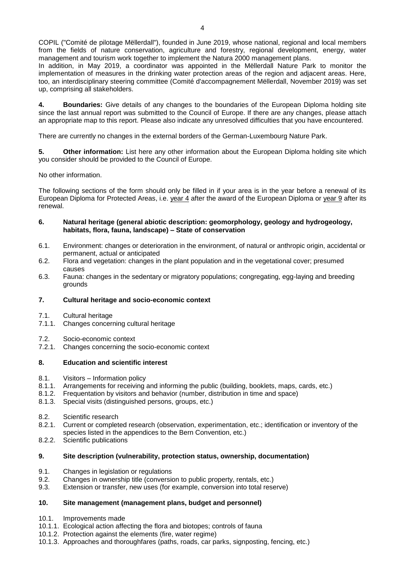In addition, in May 2019, a coordinator was appointed in the Mëllerdall Nature Park to monitor the implementation of measures in the drinking water protection areas of the region and adjacent areas. Here, too, an interdisciplinary steering committee (Comité d'accompagnement Mëllerdall, November 2019) was set up, comprising all stakeholders.

**4. Boundaries:** Give details of any changes to the boundaries of the European Diploma holding site since the last annual report was submitted to the Council of Europe. If there are any changes, please attach an appropriate map to this report. Please also indicate any unresolved difficulties that you have encountered.

There are currently no changes in the external borders of the German-Luxembourg Nature Park.

**5. Other information:** List here any other information about the European Diploma holding site which you consider should be provided to the Council of Europe.

No other information.

The following sections of the form should only be filled in if your area is in the year before a renewal of its European Diploma for Protected Areas, i.e. year 4 after the award of the European Diploma or year 9 after its renewal.

### **6. Natural heritage (general abiotic description: geomorphology, geology and hydrogeology, habitats, flora, fauna, landscape) – State of conservation**

- 6.1. Environment: changes or deterioration in the environment, of natural or anthropic origin, accidental or permanent, actual or anticipated
- 6.2. Flora and vegetation: changes in the plant population and in the vegetational cover; presumed causes
- 6.3. Fauna: changes in the sedentary or migratory populations; congregating, egg-laying and breeding grounds

# **7. Cultural heritage and socio-economic context**

- 7.1. Cultural heritage
- 7.1.1. Changes concerning cultural heritage
- 7.2. Socio-economic context
- 7.2.1. Changes concerning the socio-economic context

## **8. Education and scientific interest**

- 8.1. Visitors Information policy
- 8.1.1. Arrangements for receiving and informing the public (building, booklets, maps, cards, etc.)
- 8.1.2. Frequentation by visitors and behavior (number, distribution in time and space)
- 8.1.3. Special visits (distinguished persons, groups, etc.)
- 8.2. Scientific research
- 8.2.1. Current or completed research (observation, experimentation, etc.; identification or inventory of the species listed in the appendices to the Bern Convention, etc.)
- 8.2.2. Scientific publications

## **9. Site description (vulnerability, protection status, ownership, documentation)**

- 9.1. Changes in legislation or regulations
- 9.2. Changes in ownership title (conversion to public property, rentals, etc.)
- 9.3. Extension or transfer, new uses (for example, conversion into total reserve)

## **10. Site management (management plans, budget and personnel)**

- 10.1. Improvements made
- 10.1.1. Ecological action affecting the flora and biotopes; controls of fauna
- 10.1.2. Protection against the elements (fire, water regime)
- 10.1.3. Approaches and thoroughfares (paths, roads, car parks, signposting, fencing, etc.)